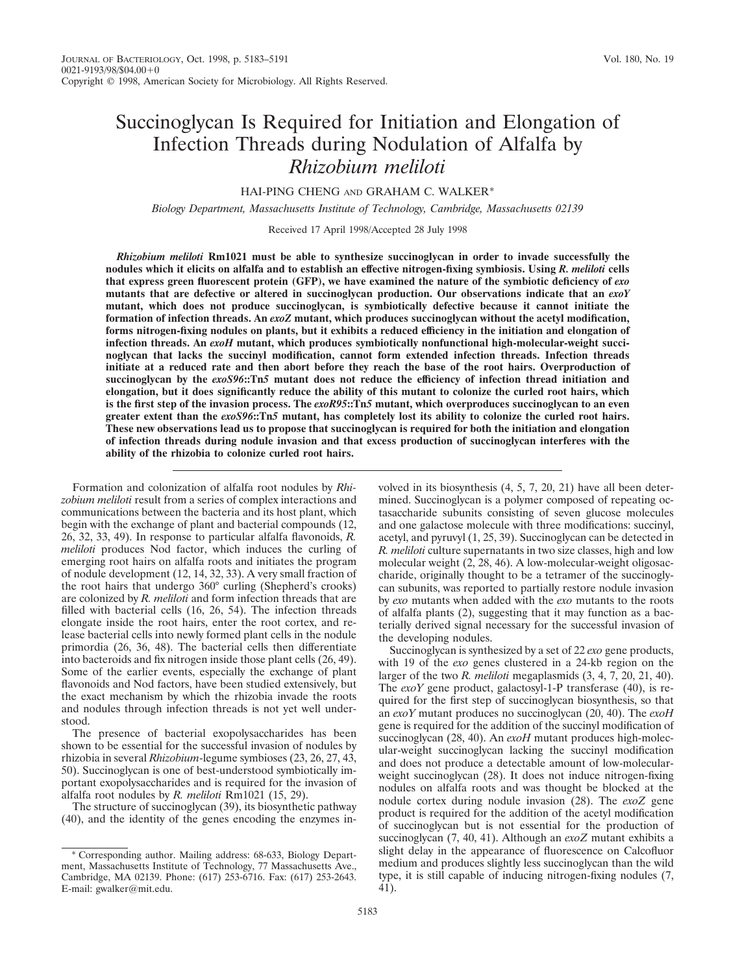# Succinoglycan Is Required for Initiation and Elongation of Infection Threads during Nodulation of Alfalfa by *Rhizobium meliloti*

## HAI-PING CHENG AND GRAHAM C. WALKER\*

*Biology Department, Massachusetts Institute of Technology, Cambridge, Massachusetts 02139*

Received 17 April 1998/Accepted 28 July 1998

*Rhizobium meliloti* **Rm1021 must be able to synthesize succinoglycan in order to invade successfully the nodules which it elicits on alfalfa and to establish an effective nitrogen-fixing symbiosis. Using** *R. meliloti* **cells that express green fluorescent protein (GFP), we have examined the nature of the symbiotic deficiency of** *exo* **mutants that are defective or altered in succinoglycan production. Our observations indicate that an** *exoY* **mutant, which does not produce succinoglycan, is symbiotically defective because it cannot initiate the formation of infection threads. An** *exoZ* **mutant, which produces succinoglycan without the acetyl modification, forms nitrogen-fixing nodules on plants, but it exhibits a reduced efficiency in the initiation and elongation of infection threads. An** *exoH* **mutant, which produces symbiotically nonfunctional high-molecular-weight succinoglycan that lacks the succinyl modification, cannot form extended infection threads. Infection threads initiate at a reduced rate and then abort before they reach the base of the root hairs. Overproduction of succinoglycan by the** *exoS96***::Tn***5* **mutant does not reduce the efficiency of infection thread initiation and elongation, but it does significantly reduce the ability of this mutant to colonize the curled root hairs, which is the first step of the invasion process. The** *exoR95***::Tn***5* **mutant, which overproduces succinoglycan to an even greater extent than the** *exoS96***::Tn***5* **mutant, has completely lost its ability to colonize the curled root hairs. These new observations lead us to propose that succinoglycan is required for both the initiation and elongation of infection threads during nodule invasion and that excess production of succinoglycan interferes with the ability of the rhizobia to colonize curled root hairs.**

Formation and colonization of alfalfa root nodules by *Rhizobium meliloti* result from a series of complex interactions and communications between the bacteria and its host plant, which begin with the exchange of plant and bacterial compounds (12, 26, 32, 33, 49). In response to particular alfalfa flavonoids, *R. meliloti* produces Nod factor, which induces the curling of emerging root hairs on alfalfa roots and initiates the program of nodule development (12, 14, 32, 33). A very small fraction of the root hairs that undergo 360° curling (Shepherd's crooks) are colonized by *R. meliloti* and form infection threads that are filled with bacterial cells (16, 26, 54). The infection threads elongate inside the root hairs, enter the root cortex, and release bacterial cells into newly formed plant cells in the nodule primordia (26, 36, 48). The bacterial cells then differentiate into bacteroids and fix nitrogen inside those plant cells (26, 49). Some of the earlier events, especially the exchange of plant flavonoids and Nod factors, have been studied extensively, but the exact mechanism by which the rhizobia invade the roots and nodules through infection threads is not yet well understood.

The presence of bacterial exopolysaccharides has been shown to be essential for the successful invasion of nodules by rhizobia in several *Rhizobium*-legume symbioses (23, 26, 27, 43, 50). Succinoglycan is one of best-understood symbiotically important exopolysaccharides and is required for the invasion of alfalfa root nodules by *R. meliloti* Rm1021 (15, 29).

The structure of succinoglycan (39), its biosynthetic pathway (40), and the identity of the genes encoding the enzymes involved in its biosynthesis (4, 5, 7, 20, 21) have all been determined. Succinoglycan is a polymer composed of repeating octasaccharide subunits consisting of seven glucose molecules and one galactose molecule with three modifications: succinyl, acetyl, and pyruvyl (1, 25, 39). Succinoglycan can be detected in *R. meliloti* culture supernatants in two size classes, high and low molecular weight (2, 28, 46). A low-molecular-weight oligosaccharide, originally thought to be a tetramer of the succinoglycan subunits, was reported to partially restore nodule invasion by *exo* mutants when added with the *exo* mutants to the roots of alfalfa plants (2), suggesting that it may function as a bacterially derived signal necessary for the successful invasion of the developing nodules.

Succinoglycan is synthesized by a set of 22 *exo* gene products, with 19 of the *exo* genes clustered in a 24-kb region on the larger of the two *R. meliloti* megaplasmids (3, 4, 7, 20, 21, 40). The *exoY* gene product, galactosyl-1-P transferase (40), is required for the first step of succinoglycan biosynthesis, so that an *exoY* mutant produces no succinoglycan (20, 40). The *exoH* gene is required for the addition of the succinyl modification of succinoglycan (28, 40). An *exoH* mutant produces high-molecular-weight succinoglycan lacking the succinyl modification and does not produce a detectable amount of low-molecularweight succinoglycan (28). It does not induce nitrogen-fixing nodules on alfalfa roots and was thought be blocked at the nodule cortex during nodule invasion (28). The *exoZ* gene product is required for the addition of the acetyl modification of succinoglycan but is not essential for the production of succinoglycan (7, 40, 41). Although an *exoZ* mutant exhibits a slight delay in the appearance of fluorescence on Calcofluor medium and produces slightly less succinoglycan than the wild type, it is still capable of inducing nitrogen-fixing nodules (7, 41).

<sup>\*</sup> Corresponding author. Mailing address: 68-633, Biology Department, Massachusetts Institute of Technology, 77 Massachusetts Ave., Cambridge, MA 02139. Phone: (617) 253-6716. Fax: (617) 253-2643. E-mail: gwalker@mit.edu.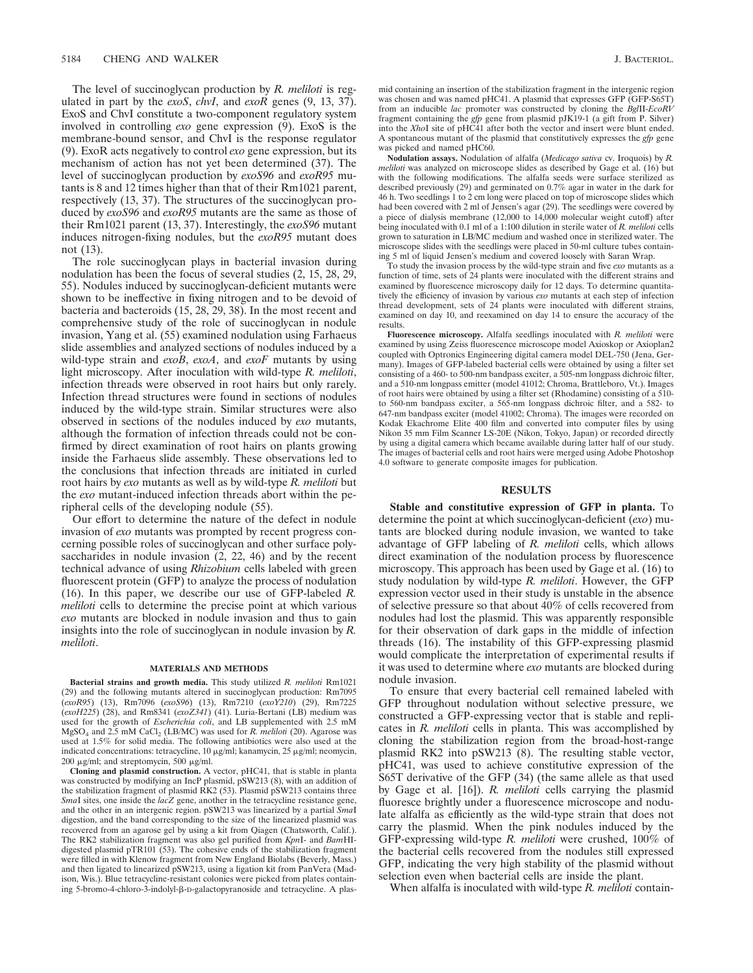The level of succinoglycan production by *R. meliloti* is regulated in part by the *exoS*, *chvI*, and *exoR* genes (9, 13, 37). ExoS and ChvI constitute a two-component regulatory system involved in controlling *exo* gene expression (9). ExoS is the membrane-bound sensor, and ChvI is the response regulator (9). ExoR acts negatively to control *exo* gene expression, but its mechanism of action has not yet been determined (37). The level of succinoglycan production by *exoS96* and *exoR95* mutants is 8 and 12 times higher than that of their Rm1021 parent, respectively (13, 37). The structures of the succinoglycan produced by *exoS96* and *exoR95* mutants are the same as those of their Rm1021 parent (13, 37). Interestingly, the *exoS96* mutant induces nitrogen-fixing nodules, but the *exoR95* mutant does not (13).

The role succinoglycan plays in bacterial invasion during nodulation has been the focus of several studies (2, 15, 28, 29, 55). Nodules induced by succinoglycan-deficient mutants were shown to be ineffective in fixing nitrogen and to be devoid of bacteria and bacteroids (15, 28, 29, 38). In the most recent and comprehensive study of the role of succinoglycan in nodule invasion, Yang et al. (55) examined nodulation using Farhaeus slide assemblies and analyzed sections of nodules induced by a wild-type strain and *exoB*, *exoA*, and *exoF* mutants by using light microscopy. After inoculation with wild-type *R. meliloti*, infection threads were observed in root hairs but only rarely. Infection thread structures were found in sections of nodules induced by the wild-type strain. Similar structures were also observed in sections of the nodules induced by *exo* mutants, although the formation of infection threads could not be confirmed by direct examination of root hairs on plants growing inside the Farhaeus slide assembly. These observations led to the conclusions that infection threads are initiated in curled root hairs by *exo* mutants as well as by wild-type *R. meliloti* but the *exo* mutant-induced infection threads abort within the peripheral cells of the developing nodule (55).

Our effort to determine the nature of the defect in nodule invasion of *exo* mutants was prompted by recent progress concerning possible roles of succinoglycan and other surface polysaccharides in nodule invasion (2, 22, 46) and by the recent technical advance of using *Rhizobium* cells labeled with green fluorescent protein (GFP) to analyze the process of nodulation (16). In this paper, we describe our use of GFP-labeled *R. meliloti* cells to determine the precise point at which various *exo* mutants are blocked in nodule invasion and thus to gain insights into the role of succinoglycan in nodule invasion by *R. meliloti*.

### **MATERIALS AND METHODS**

**Bacterial strains and growth media.** This study utilized *R. meliloti* Rm1021 (29) and the following mutants altered in succinoglycan production: Rm7095 (*exoR95*) (13), Rm7096 (*exoS96*) (13), Rm7210 (*exoY210*) (29), Rm7225 (*exoH225*) (28), and Rm8341 (*exoZ341*) (41). Luria-Bertani (LB) medium was used for the growth of *Escherichia coli*, and LB supplemented with 2.5 mM MgSO<sub>4</sub> and 2.5 mM CaCl<sub>2</sub> (LB/MC) was used for *R. meliloti* (20). Agarose was used at 1.5% for solid media. The following antibiotics were also used at the indicated concentrations: tetracycline, 10  $\mu$ g/ml; kanamycin, 25  $\mu$ g/ml; neomycin, 200  $\mu$ g/ml; and streptomycin, 500  $\mu$ g/ml.

**Cloning and plasmid construction.** A vector, pHC41, that is stable in planta was constructed by modifying an IncP plasmid, pSW213 (8), with an addition of the stabilization fragment of plasmid RK2 (53). Plasmid pSW213 contains three *Sma*I sites, one inside the *lacZ* gene, another in the tetracycline resistance gene, and the other in an intergenic region. pSW213 was linearized by a partial *Sma*I digestion, and the band corresponding to the size of the linearized plasmid was recovered from an agarose gel by using a kit from Qiagen (Chatsworth, Calif.). The RK2 stabilization fragment was also gel purified from *Kpn*I- and *Bam*HIdigested plasmid pTR101 (53). The cohesive ends of the stabilization fragment were filled in with Klenow fragment from New England Biolabs (Beverly, Mass.) and then ligated to linearized pSW213, using a ligation kit from PanVera (Madison, Wis.). Blue tetracycline-resistant colonies were picked from plates containing 5-bromo-4-chloro-3-indolyl-ß-D-galactopyranoside and tetracycline. A plasmid containing an insertion of the stabilization fragment in the intergenic region was chosen and was named pHC41. A plasmid that expresses GFP (GFP-S65T) from an inducible *lac* promoter was constructed by cloning the *Bgl*II-*EcoRV* fragment containing the *gfp* gene from plasmid pJK19-1 (a gift from P. Silver) into the *Xho*I site of pHC41 after both the vector and insert were blunt ended. A spontaneous mutant of the plasmid that constitutively expresses the *gfp* gene was picked and named pHC60.

**Nodulation assays.** Nodulation of alfalfa (*Medicago sativa* cv. Iroquois) by *R. meliloti* was analyzed on microscope slides as described by Gage et al. (16) but with the following modifications. The alfalfa seeds were surface sterilized as described previously (29) and germinated on 0.7% agar in water in the dark for 46 h. Two seedlings 1 to 2 cm long were placed on top of microscope slides which had been covered with 2 ml of Jensen's agar (29). The seedlings were covered by a piece of dialysis membrane (12,000 to 14,000 molecular weight cutoff) after being inoculated with 0.1 ml of a 1:100 dilution in sterile water of *R. meliloti* cells grown to saturation in LB/MC medium and washed once in sterilized water. The microscope slides with the seedlings were placed in 50-ml culture tubes containing 5 ml of liquid Jensen's medium and covered loosely with Saran Wrap.

To study the invasion process by the wild-type strain and five *exo* mutants as a function of time, sets of 24 plants were inoculated with the different strains and examined by fluorescence microscopy daily for 12 days. To determine quantitatively the efficiency of invasion by various *exo* mutants at each step of infection thread development, sets of 24 plants were inoculated with different strains, examined on day 10, and reexamined on day 14 to ensure the accuracy of the results.

**Fluorescence microscopy.** Alfalfa seedlings inoculated with *R. meliloti* were examined by using Zeiss fluorescence microscope model Axioskop or Axioplan2 coupled with Optronics Engineering digital camera model DEL-750 (Jena, Germany). Images of GFP-labeled bacterial cells were obtained by using a filter set consisting of a 460- to 500-nm bandpass exciter, a 505-nm longpass dichroic filter, and a 510-nm longpass emitter (model 41012; Chroma, Brattleboro, Vt.). Images of root hairs were obtained by using a filter set (Rhodamine) consisting of a 510 to 560-nm bandpass exciter, a 565-nm longpass dichroic filter, and a 582- to 647-nm bandpass exciter (model 41002; Chroma). The images were recorded on Kodak Ekachrome Elite 400 film and converted into computer files by using Nikon 35 mm Film Scanner LS-20E (Nikon, Tokyo, Japan) or recorded directly by using a digital camera which became available during latter half of our study. The images of bacterial cells and root hairs were merged using Adobe Photoshop 4.0 software to generate composite images for publication.

### **RESULTS**

**Stable and constitutive expression of GFP in planta.** To determine the point at which succinoglycan-deficient (*exo*) mutants are blocked during nodule invasion, we wanted to take advantage of GFP labeling of *R. meliloti* cells, which allows direct examination of the nodulation process by fluorescence microscopy. This approach has been used by Gage et al. (16) to study nodulation by wild-type *R. meliloti*. However, the GFP expression vector used in their study is unstable in the absence of selective pressure so that about 40% of cells recovered from nodules had lost the plasmid. This was apparently responsible for their observation of dark gaps in the middle of infection threads (16). The instability of this GFP-expressing plasmid would complicate the interpretation of experimental results if it was used to determine where *exo* mutants are blocked during nodule invasion.

To ensure that every bacterial cell remained labeled with GFP throughout nodulation without selective pressure, we constructed a GFP-expressing vector that is stable and replicates in *R. meliloti* cells in planta. This was accomplished by cloning the stabilization region from the broad-host-range plasmid RK2 into pSW213 (8). The resulting stable vector, pHC41, was used to achieve constitutive expression of the S65T derivative of the GFP (34) (the same allele as that used by Gage et al. [16]). *R. meliloti* cells carrying the plasmid fluoresce brightly under a fluorescence microscope and nodulate alfalfa as efficiently as the wild-type strain that does not carry the plasmid. When the pink nodules induced by the GFP-expressing wild-type *R. meliloti* were crushed, 100% of the bacterial cells recovered from the nodules still expressed GFP, indicating the very high stability of the plasmid without selection even when bacterial cells are inside the plant.

When alfalfa is inoculated with wild-type *R. meliloti* contain-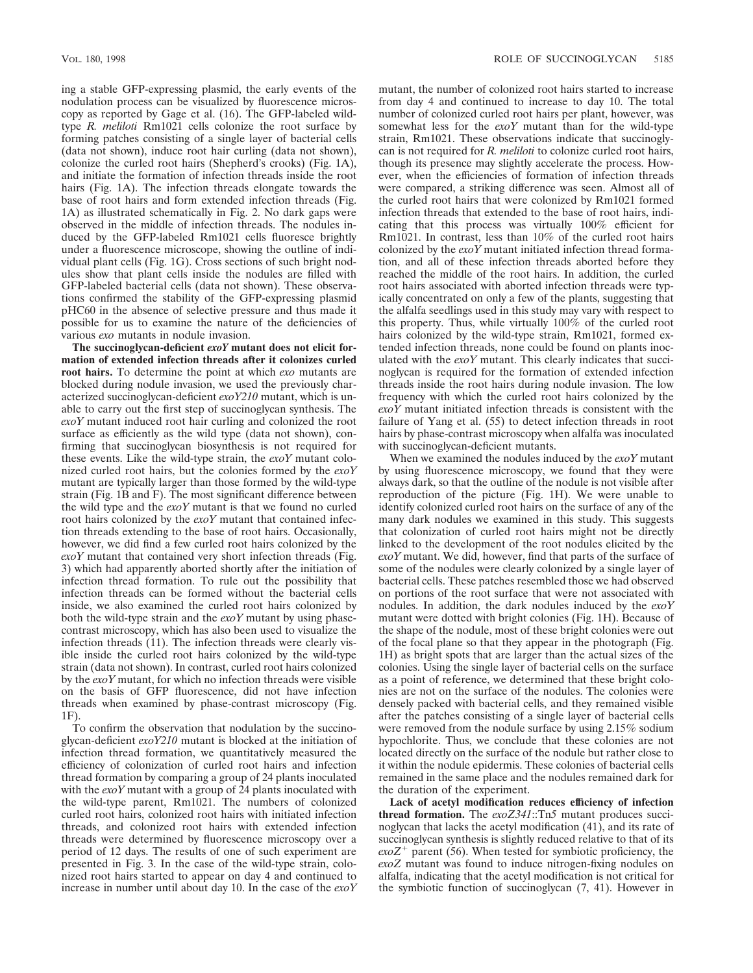ing a stable GFP-expressing plasmid, the early events of the nodulation process can be visualized by fluorescence microscopy as reported by Gage et al. (16). The GFP-labeled wildtype *R. meliloti* Rm1021 cells colonize the root surface by forming patches consisting of a single layer of bacterial cells (data not shown), induce root hair curling (data not shown), colonize the curled root hairs (Shepherd's crooks) (Fig. 1A), and initiate the formation of infection threads inside the root hairs (Fig. 1A). The infection threads elongate towards the base of root hairs and form extended infection threads (Fig. 1A) as illustrated schematically in Fig. 2. No dark gaps were observed in the middle of infection threads. The nodules induced by the GFP-labeled Rm1021 cells fluoresce brightly under a fluorescence microscope, showing the outline of individual plant cells (Fig. 1G). Cross sections of such bright nodules show that plant cells inside the nodules are filled with GFP-labeled bacterial cells (data not shown). These observations confirmed the stability of the GFP-expressing plasmid pHC60 in the absence of selective pressure and thus made it possible for us to examine the nature of the deficiencies of various *exo* mutants in nodule invasion.

**The succinoglycan-deficient** *exoY* **mutant does not elicit formation of extended infection threads after it colonizes curled root hairs.** To determine the point at which *exo* mutants are blocked during nodule invasion, we used the previously characterized succinoglycan-deficient *exoY210* mutant, which is unable to carry out the first step of succinoglycan synthesis. The *exoY* mutant induced root hair curling and colonized the root surface as efficiently as the wild type (data not shown), confirming that succinoglycan biosynthesis is not required for these events. Like the wild-type strain, the *exoY* mutant colonized curled root hairs, but the colonies formed by the *exoY* mutant are typically larger than those formed by the wild-type strain (Fig. 1B and F). The most significant difference between the wild type and the *exoY* mutant is that we found no curled root hairs colonized by the *exoY* mutant that contained infection threads extending to the base of root hairs. Occasionally, however, we did find a few curled root hairs colonized by the *exoY* mutant that contained very short infection threads (Fig. 3) which had apparently aborted shortly after the initiation of infection thread formation. To rule out the possibility that infection threads can be formed without the bacterial cells inside, we also examined the curled root hairs colonized by both the wild-type strain and the *exoY* mutant by using phasecontrast microscopy, which has also been used to visualize the infection threads (11). The infection threads were clearly visible inside the curled root hairs colonized by the wild-type strain (data not shown). In contrast, curled root hairs colonized by the *exoY* mutant, for which no infection threads were visible on the basis of GFP fluorescence, did not have infection threads when examined by phase-contrast microscopy (Fig. 1F).

To confirm the observation that nodulation by the succinoglycan-deficient *exoY210* mutant is blocked at the initiation of infection thread formation, we quantitatively measured the efficiency of colonization of curled root hairs and infection thread formation by comparing a group of 24 plants inoculated with the *exoY* mutant with a group of 24 plants inoculated with the wild-type parent, Rm1021. The numbers of colonized curled root hairs, colonized root hairs with initiated infection threads, and colonized root hairs with extended infection threads were determined by fluorescence microscopy over a period of 12 days. The results of one of such experiment are presented in Fig. 3. In the case of the wild-type strain, colonized root hairs started to appear on day 4 and continued to increase in number until about day 10. In the case of the *exoY*

mutant, the number of colonized root hairs started to increase from day 4 and continued to increase to day 10. The total number of colonized curled root hairs per plant, however, was somewhat less for the *exoY* mutant than for the wild-type strain, Rm1021. These observations indicate that succinoglycan is not required for *R. meliloti* to colonize curled root hairs, though its presence may slightly accelerate the process. However, when the efficiencies of formation of infection threads were compared, a striking difference was seen. Almost all of the curled root hairs that were colonized by Rm1021 formed infection threads that extended to the base of root hairs, indicating that this process was virtually 100% efficient for Rm1021. In contrast, less than 10% of the curled root hairs colonized by the *exoY* mutant initiated infection thread formation, and all of these infection threads aborted before they reached the middle of the root hairs. In addition, the curled root hairs associated with aborted infection threads were typically concentrated on only a few of the plants, suggesting that the alfalfa seedlings used in this study may vary with respect to this property. Thus, while virtually 100% of the curled root hairs colonized by the wild-type strain, Rm1021, formed extended infection threads, none could be found on plants inoculated with the *exoY* mutant. This clearly indicates that succinoglycan is required for the formation of extended infection threads inside the root hairs during nodule invasion. The low frequency with which the curled root hairs colonized by the *exoY* mutant initiated infection threads is consistent with the failure of Yang et al. (55) to detect infection threads in root hairs by phase-contrast microscopy when alfalfa was inoculated with succinoglycan-deficient mutants.

When we examined the nodules induced by the *exoY* mutant by using fluorescence microscopy, we found that they were always dark, so that the outline of the nodule is not visible after reproduction of the picture (Fig. 1H). We were unable to identify colonized curled root hairs on the surface of any of the many dark nodules we examined in this study. This suggests that colonization of curled root hairs might not be directly linked to the development of the root nodules elicited by the *exoY* mutant. We did, however, find that parts of the surface of some of the nodules were clearly colonized by a single layer of bacterial cells. These patches resembled those we had observed on portions of the root surface that were not associated with nodules. In addition, the dark nodules induced by the *exoY* mutant were dotted with bright colonies (Fig. 1H). Because of the shape of the nodule, most of these bright colonies were out of the focal plane so that they appear in the photograph (Fig. 1H) as bright spots that are larger than the actual sizes of the colonies. Using the single layer of bacterial cells on the surface as a point of reference, we determined that these bright colonies are not on the surface of the nodules. The colonies were densely packed with bacterial cells, and they remained visible after the patches consisting of a single layer of bacterial cells were removed from the nodule surface by using 2.15% sodium hypochlorite. Thus, we conclude that these colonies are not located directly on the surface of the nodule but rather close to it within the nodule epidermis. These colonies of bacterial cells remained in the same place and the nodules remained dark for the duration of the experiment.

**Lack of acetyl modification reduces efficiency of infection thread formation.** The *exoZ341*::Tn*5* mutant produces succinoglycan that lacks the acetyl modification (41), and its rate of succinoglycan synthesis is slightly reduced relative to that of its  $e$ *xo* $Z$ <sup>+</sup> parent (56). When tested for symbiotic proficiency, the *exoZ* mutant was found to induce nitrogen-fixing nodules on alfalfa, indicating that the acetyl modification is not critical for the symbiotic function of succinoglycan (7, 41). However in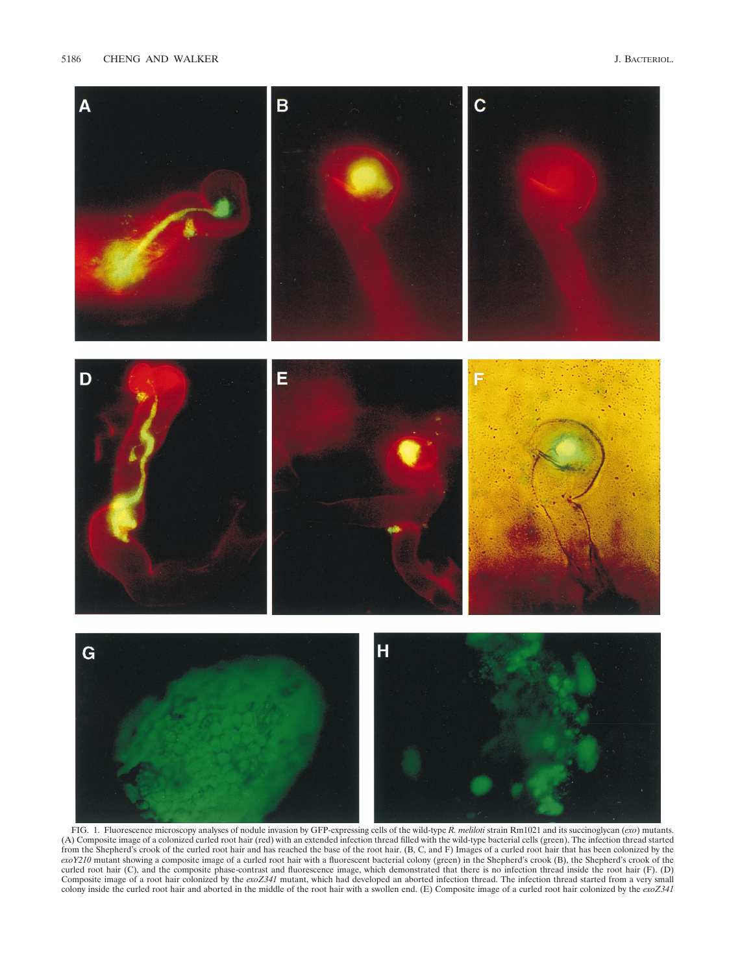

FIG. 1. Fluorescence microscopy analyses of nodule invasion by GFP-expressing cells of the wild-type *R. meliloti* strain Rm1021 and its succinoglycan (*exo*) mutants. (A) Composite image of a colonized curled root hair (red) with an extended infection thread filled with the wild-type bacterial cells (green). The infection thread started from the Shepherd's crook of the curled root hair and has reached the base of the root hair. (B, C, and F) Images of a curled root hair that has been colonized by the *exoY210* mutant showing a composite image of a curled root hair with a fluorescent bacterial colony (green) in the Shepherd's crook (B), the Shepherd's crook of the curled root hair (C), and the composite phase-contrast and fluorescence image, which demonstrated that there is no infection thread inside the root hair (F). (D)<br>Composite image of a root hair colonized by the *exoZ341* mu colony inside the curled root hair and aborted in the middle of the root hair with a swollen end. (E) Composite image of a curled root hair colonized by the *exoZ341*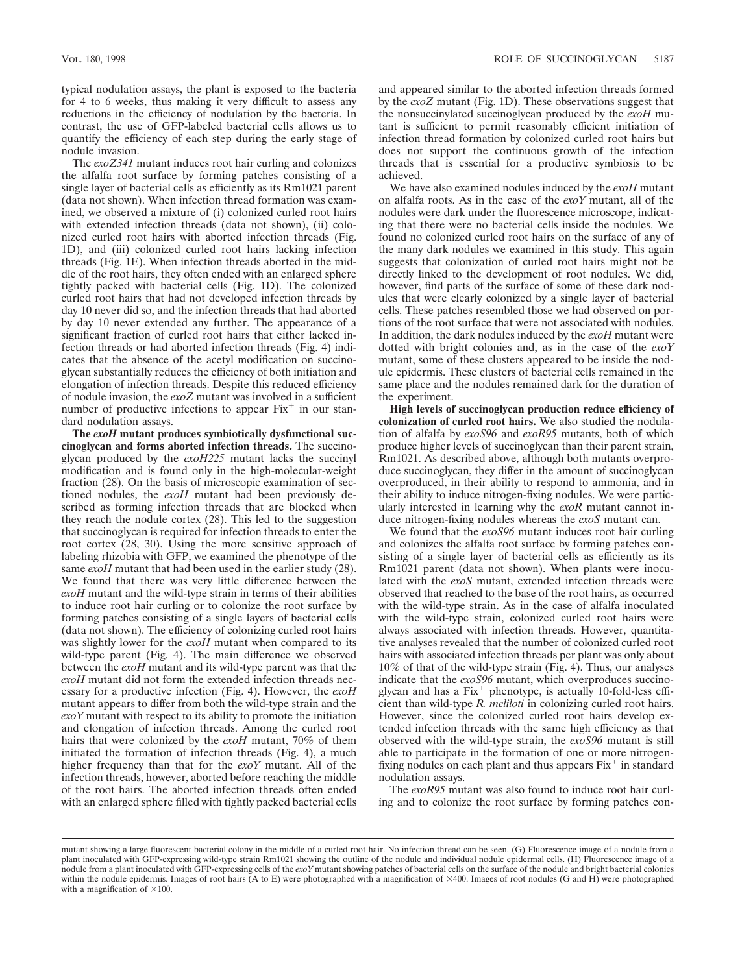typical nodulation assays, the plant is exposed to the bacteria for 4 to 6 weeks, thus making it very difficult to assess any reductions in the efficiency of nodulation by the bacteria. In contrast, the use of GFP-labeled bacterial cells allows us to quantify the efficiency of each step during the early stage of nodule invasion.

The *exoZ341* mutant induces root hair curling and colonizes the alfalfa root surface by forming patches consisting of a single layer of bacterial cells as efficiently as its Rm1021 parent (data not shown). When infection thread formation was examined, we observed a mixture of (i) colonized curled root hairs with extended infection threads (data not shown), (ii) colonized curled root hairs with aborted infection threads (Fig. 1D), and (iii) colonized curled root hairs lacking infection threads (Fig. 1E). When infection threads aborted in the middle of the root hairs, they often ended with an enlarged sphere tightly packed with bacterial cells (Fig. 1D). The colonized curled root hairs that had not developed infection threads by day 10 never did so, and the infection threads that had aborted by day 10 never extended any further. The appearance of a significant fraction of curled root hairs that either lacked infection threads or had aborted infection threads (Fig. 4) indicates that the absence of the acetyl modification on succinoglycan substantially reduces the efficiency of both initiation and elongation of infection threads. Despite this reduced efficiency of nodule invasion, the *exoZ* mutant was involved in a sufficient number of productive infections to appear  $Fix<sup>+</sup>$  in our standard nodulation assays.

**The** *exoH* **mutant produces symbiotically dysfunctional succinoglycan and forms aborted infection threads.** The succinoglycan produced by the *exoH225* mutant lacks the succinyl modification and is found only in the high-molecular-weight fraction (28). On the basis of microscopic examination of sectioned nodules, the *exoH* mutant had been previously described as forming infection threads that are blocked when they reach the nodule cortex (28). This led to the suggestion that succinoglycan is required for infection threads to enter the root cortex (28, 30). Using the more sensitive approach of labeling rhizobia with GFP, we examined the phenotype of the same *exoH* mutant that had been used in the earlier study (28). We found that there was very little difference between the *exoH* mutant and the wild-type strain in terms of their abilities to induce root hair curling or to colonize the root surface by forming patches consisting of a single layers of bacterial cells (data not shown). The efficiency of colonizing curled root hairs was slightly lower for the *exoH* mutant when compared to its wild-type parent (Fig. 4). The main difference we observed between the *exoH* mutant and its wild-type parent was that the *exoH* mutant did not form the extended infection threads necessary for a productive infection (Fig. 4). However, the *exoH* mutant appears to differ from both the wild-type strain and the *exoY* mutant with respect to its ability to promote the initiation and elongation of infection threads. Among the curled root hairs that were colonized by the *exoH* mutant, 70% of them initiated the formation of infection threads (Fig. 4), a much higher frequency than that for the *exoY* mutant. All of the infection threads, however, aborted before reaching the middle of the root hairs. The aborted infection threads often ended with an enlarged sphere filled with tightly packed bacterial cells

and appeared similar to the aborted infection threads formed by the *exoZ* mutant (Fig. 1D). These observations suggest that the nonsuccinylated succinoglycan produced by the *exoH* mutant is sufficient to permit reasonably efficient initiation of infection thread formation by colonized curled root hairs but does not support the continuous growth of the infection threads that is essential for a productive symbiosis to be achieved.

We have also examined nodules induced by the *exoH* mutant on alfalfa roots. As in the case of the *exoY* mutant, all of the nodules were dark under the fluorescence microscope, indicating that there were no bacterial cells inside the nodules. We found no colonized curled root hairs on the surface of any of the many dark nodules we examined in this study. This again suggests that colonization of curled root hairs might not be directly linked to the development of root nodules. We did, however, find parts of the surface of some of these dark nodules that were clearly colonized by a single layer of bacterial cells. These patches resembled those we had observed on portions of the root surface that were not associated with nodules. In addition, the dark nodules induced by the *exoH* mutant were dotted with bright colonies and, as in the case of the *exoY* mutant, some of these clusters appeared to be inside the nodule epidermis. These clusters of bacterial cells remained in the same place and the nodules remained dark for the duration of the experiment.

**High levels of succinoglycan production reduce efficiency of colonization of curled root hairs.** We also studied the nodulation of alfalfa by *exoS96* and *exoR95* mutants, both of which produce higher levels of succinoglycan than their parent strain, Rm1021. As described above, although both mutants overproduce succinoglycan, they differ in the amount of succinoglycan overproduced, in their ability to respond to ammonia, and in their ability to induce nitrogen-fixing nodules. We were particularly interested in learning why the *exoR* mutant cannot induce nitrogen-fixing nodules whereas the *exoS* mutant can.

We found that the *exoS96* mutant induces root hair curling and colonizes the alfalfa root surface by forming patches consisting of a single layer of bacterial cells as efficiently as its Rm1021 parent (data not shown). When plants were inoculated with the *exoS* mutant, extended infection threads were observed that reached to the base of the root hairs, as occurred with the wild-type strain. As in the case of alfalfa inoculated with the wild-type strain, colonized curled root hairs were always associated with infection threads. However, quantitative analyses revealed that the number of colonized curled root hairs with associated infection threads per plant was only about 10% of that of the wild-type strain (Fig. 4). Thus, our analyses indicate that the *exoS96* mutant, which overproduces succinoglycan and has a  $Fix^+$  phenotype, is actually 10-fold-less efficient than wild-type *R. meliloti* in colonizing curled root hairs. However, since the colonized curled root hairs develop extended infection threads with the same high efficiency as that observed with the wild-type strain, the *exoS96* mutant is still able to participate in the formation of one or more nitrogenfixing nodules on each plant and thus appears  $Fix^+$  in standard nodulation assays.

The *exoR95* mutant was also found to induce root hair curling and to colonize the root surface by forming patches con-

mutant showing a large fluorescent bacterial colony in the middle of a curled root hair. No infection thread can be seen. (G) Fluorescence image of a nodule from a plant inoculated with GFP-expressing wild-type strain Rm1021 showing the outline of the nodule and individual nodule epidermal cells. (H) Fluorescence image of a nodule from a plant inoculated with GFP-expressing cells of the *exoY* mutant showing patches of bacterial cells on the surface of the nodule and bright bacterial colonies within the nodule epidermis. Images of root hairs (A to E) were photographed with a magnification of  $\times$ 400. Images of root nodules (G and H) were photographed with a magnification of  $\times 100$ .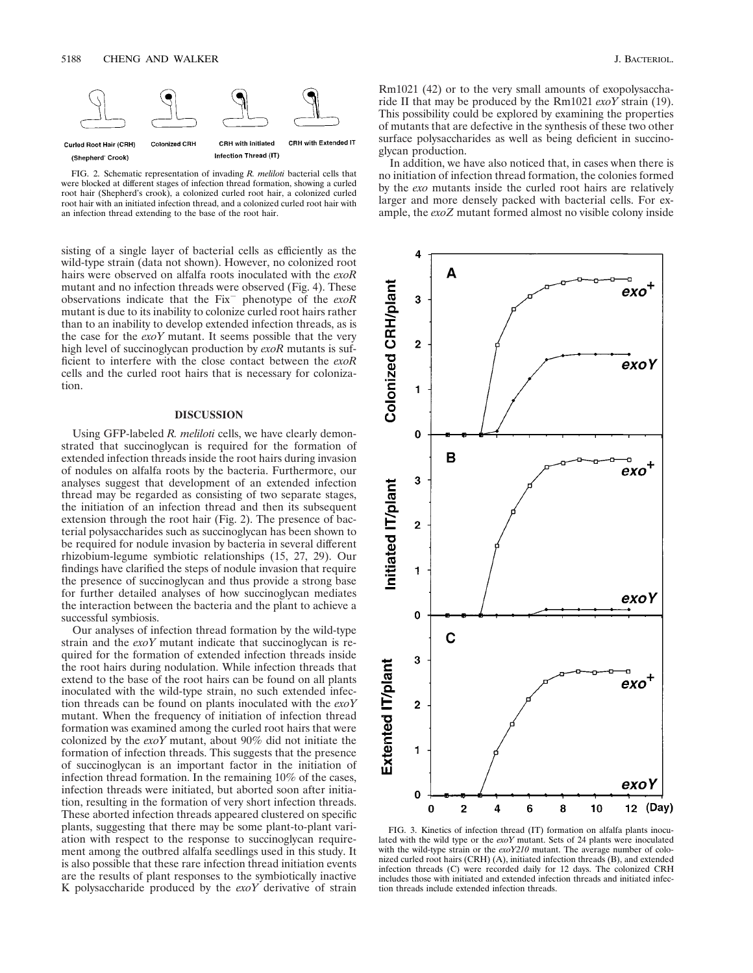

FIG. 2. Schematic representation of invading *R. meliloti* bacterial cells that were blocked at different stages of infection thread formation, showing a curled root hair (Shepherd's crook), a colonized curled root hair, a colonized curled root hair with an initiated infection thread, and a colonized curled root hair with an infection thread extending to the base of the root hair.

sisting of a single layer of bacterial cells as efficiently as the wild-type strain (data not shown). However, no colonized root hairs were observed on alfalfa roots inoculated with the *exoR* mutant and no infection threads were observed (Fig. 4). These observations indicate that the Fix<sup>-</sup> phenotype of the *exoR* mutant is due to its inability to colonize curled root hairs rather than to an inability to develop extended infection threads, as is the case for the *exoY* mutant. It seems possible that the very high level of succinoglycan production by *exoR* mutants is sufficient to interfere with the close contact between the *exoR* cells and the curled root hairs that is necessary for colonization.

### **DISCUSSION**

Using GFP-labeled *R. meliloti* cells, we have clearly demonstrated that succinoglycan is required for the formation of extended infection threads inside the root hairs during invasion of nodules on alfalfa roots by the bacteria. Furthermore, our analyses suggest that development of an extended infection thread may be regarded as consisting of two separate stages, the initiation of an infection thread and then its subsequent extension through the root hair (Fig. 2). The presence of bacterial polysaccharides such as succinoglycan has been shown to be required for nodule invasion by bacteria in several different rhizobium-legume symbiotic relationships (15, 27, 29). Our findings have clarified the steps of nodule invasion that require the presence of succinoglycan and thus provide a strong base for further detailed analyses of how succinoglycan mediates the interaction between the bacteria and the plant to achieve a successful symbiosis.

Our analyses of infection thread formation by the wild-type strain and the *exoY* mutant indicate that succinoglycan is required for the formation of extended infection threads inside the root hairs during nodulation. While infection threads that extend to the base of the root hairs can be found on all plants inoculated with the wild-type strain, no such extended infection threads can be found on plants inoculated with the *exoY* mutant. When the frequency of initiation of infection thread formation was examined among the curled root hairs that were colonized by the *exoY* mutant, about 90% did not initiate the formation of infection threads. This suggests that the presence of succinoglycan is an important factor in the initiation of infection thread formation. In the remaining 10% of the cases, infection threads were initiated, but aborted soon after initiation, resulting in the formation of very short infection threads. These aborted infection threads appeared clustered on specific plants, suggesting that there may be some plant-to-plant variation with respect to the response to succinoglycan requirement among the outbred alfalfa seedlings used in this study. It is also possible that these rare infection thread initiation events are the results of plant responses to the symbiotically inactive K polysaccharide produced by the *exoY* derivative of strain

Rm1021 (42) or to the very small amounts of exopolysaccharide II that may be produced by the Rm1021 *exoY* strain (19). This possibility could be explored by examining the properties of mutants that are defective in the synthesis of these two other surface polysaccharides as well as being deficient in succinoglycan production.

In addition, we have also noticed that, in cases when there is no initiation of infection thread formation, the colonies formed by the *exo* mutants inside the curled root hairs are relatively larger and more densely packed with bacterial cells. For example, the *exoZ* mutant formed almost no visible colony inside



FIG. 3. Kinetics of infection thread (IT) formation on alfalfa plants inoculated with the wild type or the *exoY* mutant. Sets of 24 plants were inoculated with the wild-type strain or the *exoY210* mutant. The average number of colonized curled root hairs (CRH) (A), initiated infection threads (B), and extended infection threads (C) were recorded daily for 12 days. The colonized CRH includes those with initiated and extended infection threads and initiated infection threads include extended infection threads.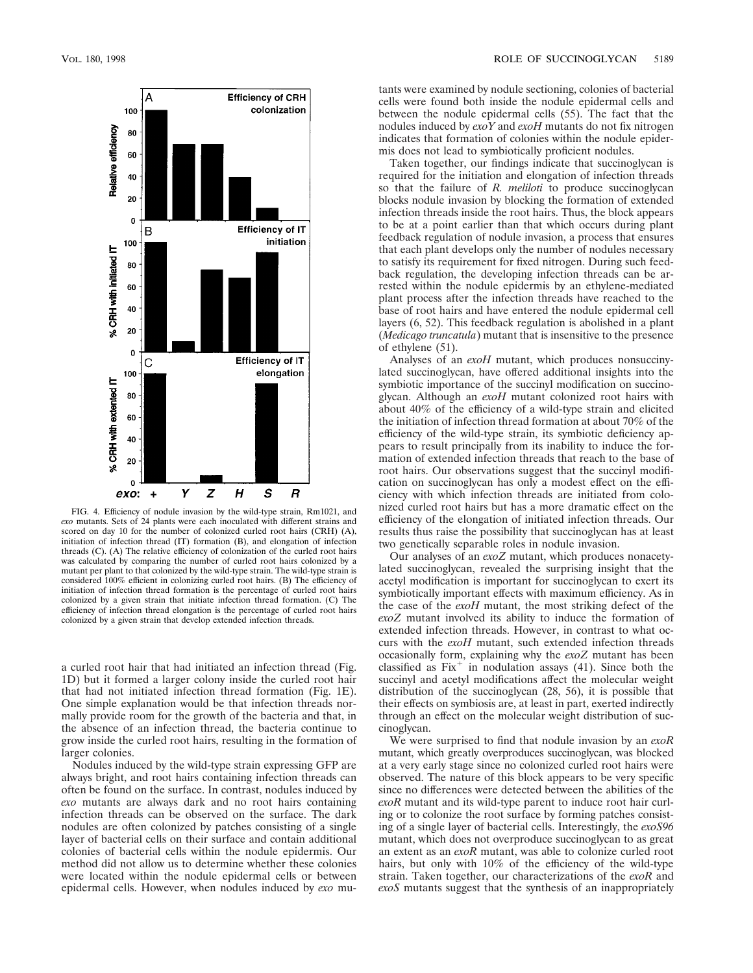

FIG. 4. Efficiency of nodule invasion by the wild-type strain, Rm1021, and *exo* mutants. Sets of 24 plants were each inoculated with different strains and scored on day 10 for the number of colonized curled root hairs (CRH) (A), initiation of infection thread (IT) formation (B), and elongation of infection threads (C). (A) The relative efficiency of colonization of the curled root hairs was calculated by comparing the number of curled root hairs colonized by a mutant per plant to that colonized by the wild-type strain. The wild-type strain is considered 100% efficient in colonizing curled root hairs. (B) The efficiency of initiation of infection thread formation is the percentage of curled root hairs colonized by a given strain that initiate infection thread formation. (C) The efficiency of infection thread elongation is the percentage of curled root hairs colonized by a given strain that develop extended infection threads.

a curled root hair that had initiated an infection thread (Fig. 1D) but it formed a larger colony inside the curled root hair that had not initiated infection thread formation (Fig. 1E). One simple explanation would be that infection threads normally provide room for the growth of the bacteria and that, in the absence of an infection thread, the bacteria continue to grow inside the curled root hairs, resulting in the formation of larger colonies.

Nodules induced by the wild-type strain expressing GFP are always bright, and root hairs containing infection threads can often be found on the surface. In contrast, nodules induced by *exo* mutants are always dark and no root hairs containing infection threads can be observed on the surface. The dark nodules are often colonized by patches consisting of a single layer of bacterial cells on their surface and contain additional colonies of bacterial cells within the nodule epidermis. Our method did not allow us to determine whether these colonies were located within the nodule epidermal cells or between epidermal cells. However, when nodules induced by *exo* mutants were examined by nodule sectioning, colonies of bacterial cells were found both inside the nodule epidermal cells and between the nodule epidermal cells (55). The fact that the nodules induced by *exoY* and *exoH* mutants do not fix nitrogen indicates that formation of colonies within the nodule epidermis does not lead to symbiotically proficient nodules.

Taken together, our findings indicate that succinoglycan is required for the initiation and elongation of infection threads so that the failure of *R. meliloti* to produce succinoglycan blocks nodule invasion by blocking the formation of extended infection threads inside the root hairs. Thus, the block appears to be at a point earlier than that which occurs during plant feedback regulation of nodule invasion, a process that ensures that each plant develops only the number of nodules necessary to satisfy its requirement for fixed nitrogen. During such feedback regulation, the developing infection threads can be arrested within the nodule epidermis by an ethylene-mediated plant process after the infection threads have reached to the base of root hairs and have entered the nodule epidermal cell layers (6, 52). This feedback regulation is abolished in a plant (*Medicago truncatula*) mutant that is insensitive to the presence of ethylene (51).

Analyses of an *exoH* mutant, which produces nonsuccinylated succinoglycan, have offered additional insights into the symbiotic importance of the succinyl modification on succinoglycan. Although an *exoH* mutant colonized root hairs with about 40% of the efficiency of a wild-type strain and elicited the initiation of infection thread formation at about 70% of the efficiency of the wild-type strain, its symbiotic deficiency appears to result principally from its inability to induce the formation of extended infection threads that reach to the base of root hairs. Our observations suggest that the succinyl modification on succinoglycan has only a modest effect on the efficiency with which infection threads are initiated from colonized curled root hairs but has a more dramatic effect on the efficiency of the elongation of initiated infection threads. Our results thus raise the possibility that succinoglycan has at least two genetically separable roles in nodule invasion.

Our analyses of an *exoZ* mutant, which produces nonacetylated succinoglycan, revealed the surprising insight that the acetyl modification is important for succinoglycan to exert its symbiotically important effects with maximum efficiency. As in the case of the *exoH* mutant, the most striking defect of the *exoZ* mutant involved its ability to induce the formation of extended infection threads. However, in contrast to what occurs with the *exoH* mutant, such extended infection threads occasionally form, explaining why the  $e\alpha Z$  mutant has been classified as  $Fix^+$  in nodulation assays (41). Since both the succinyl and acetyl modifications affect the molecular weight distribution of the succinoglycan (28, 56), it is possible that their effects on symbiosis are, at least in part, exerted indirectly through an effect on the molecular weight distribution of succinoglycan.

We were surprised to find that nodule invasion by an *exoR* mutant, which greatly overproduces succinoglycan, was blocked at a very early stage since no colonized curled root hairs were observed. The nature of this block appears to be very specific since no differences were detected between the abilities of the *exoR* mutant and its wild-type parent to induce root hair curling or to colonize the root surface by forming patches consisting of a single layer of bacterial cells. Interestingly, the *exoS96* mutant, which does not overproduce succinoglycan to as great an extent as an *exoR* mutant, was able to colonize curled root hairs, but only with 10% of the efficiency of the wild-type strain. Taken together, our characterizations of the *exoR* and *exoS* mutants suggest that the synthesis of an inappropriately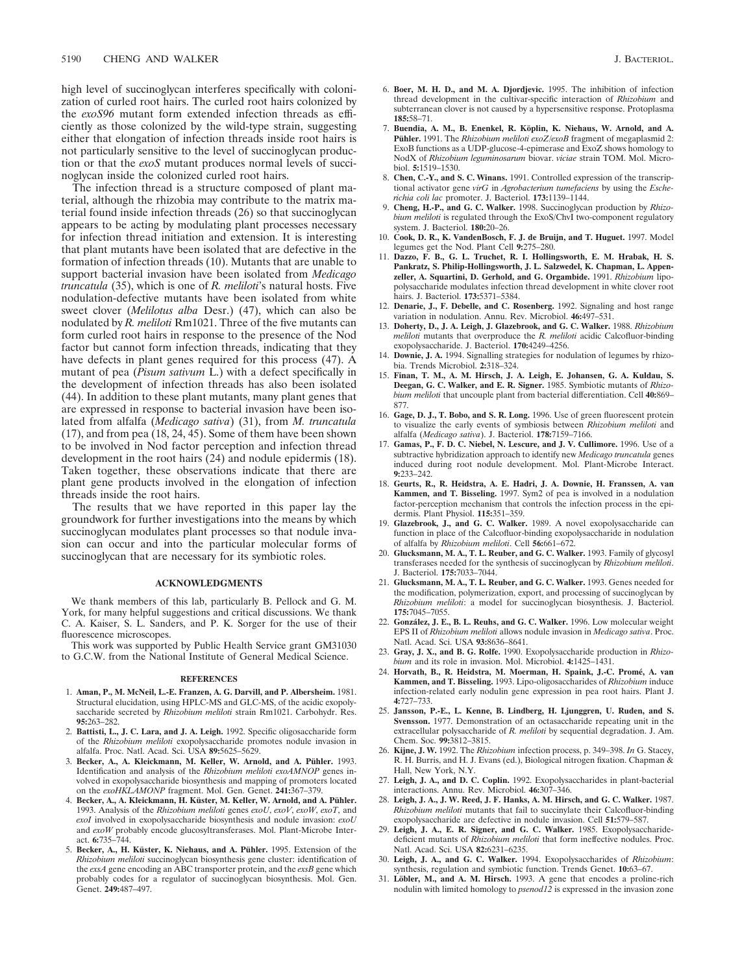high level of succinoglycan interferes specifically with colonization of curled root hairs. The curled root hairs colonized by the *exoS96* mutant form extended infection threads as efficiently as those colonized by the wild-type strain, suggesting either that elongation of infection threads inside root hairs is not particularly sensitive to the level of succinoglycan production or that the *exoS* mutant produces normal levels of succinoglycan inside the colonized curled root hairs.

The infection thread is a structure composed of plant material, although the rhizobia may contribute to the matrix material found inside infection threads (26) so that succinoglycan appears to be acting by modulating plant processes necessary for infection thread initiation and extension. It is interesting that plant mutants have been isolated that are defective in the formation of infection threads (10). Mutants that are unable to support bacterial invasion have been isolated from *Medicago truncatula* (35), which is one of *R. meliloti*'s natural hosts. Five nodulation-defective mutants have been isolated from white sweet clover (*Melilotus alba* Desr.) (47), which can also be nodulated by *R. meliloti* Rm1021. Three of the five mutants can form curled root hairs in response to the presence of the Nod factor but cannot form infection threads, indicating that they have defects in plant genes required for this process (47). A mutant of pea (*Pisum sativum* L.) with a defect specifically in the development of infection threads has also been isolated (44). In addition to these plant mutants, many plant genes that are expressed in response to bacterial invasion have been isolated from alfalfa (*Medicago sativa*) (31), from *M. truncatula* (17), and from pea (18, 24, 45). Some of them have been shown to be involved in Nod factor perception and infection thread development in the root hairs (24) and nodule epidermis (18). Taken together, these observations indicate that there are plant gene products involved in the elongation of infection threads inside the root hairs.

The results that we have reported in this paper lay the groundwork for further investigations into the means by which succinoglycan modulates plant processes so that nodule invasion can occur and into the particular molecular forms of succinoglycan that are necessary for its symbiotic roles.

### **ACKNOWLEDGMENTS**

We thank members of this lab, particularly B. Pellock and G. M. York, for many helpful suggestions and critical discussions. We thank C. A. Kaiser, S. L. Sanders, and P. K. Sorger for the use of their fluorescence microscopes.

This work was supported by Public Health Service grant GM31030 to G.C.W. from the National Institute of General Medical Science.

### **REFERENCES**

- 1. **Aman, P., M. McNeil, L.-E. Franzen, A. G. Darvill, and P. Albersheim.** 1981. Structural elucidation, using HPLC-MS and GLC-MS, of the acidic exopolysaccharide secreted by *Rhizobium meliloti* strain Rm1021. Carbohydr. Res. **95:**263–282.
- 2. **Battisti, L., J. C. Lara, and J. A. Leigh.** 1992. Specific oligosaccharide form of the *Rhizobium meliloti* exopolysaccharide promotes nodule invasion in alfalfa. Proc. Natl. Acad. Sci. USA **89:**5625–5629.
- 3. Becker, A., A. Kleickmann, M. Keller, W. Arnold, and A. Pühler. 1993. Identification and analysis of the *Rhizobium meliloti exoAMNOP* genes involved in exopolysaccharide biosynthesis and mapping of promoters located on the *exoHKLAMONP* fragment. Mol. Gen. Genet. **241:**367–379.
- 4. Becker, A., A. Kleickmann, H. Küster, M. Keller, W. Arnold, and A. Pühler. 1993. Analysis of the *Rhizobium meliloti* genes *exoU*, *exoV*, *exoW*, *exoT*, and *exoI* involved in exopolysaccharide biosynthesis and nodule invasion: *exoU* and *exoW* probably encode glucosyltransferases. Mol. Plant-Microbe Interact. **6:**735–744.
- 5. Becker, A., H. Küster, K. Niehaus, and A. Pühler. 1995. Extension of the *Rhizobium meliloti* succinoglycan biosynthesis gene cluster: identification of the *exsA* gene encoding an ABC transporter protein, and the *exsB* gene which probably codes for a regulator of succinoglycan biosynthesis. Mol. Gen. Genet. **249:**487–497.

**185:**58–71. 7. Buendia, A. M., B. Enenkel, R. Köplin, K. Niehaus, W. Arnold, and A. Pühler. 1991. The *Rhizobium meliloti exoZ/exoB* fragment of megaplasmid 2: ExoB functions as a UDP-glucose-4-epimerase and ExoZ shows homology to NodX of *Rhizobium leguminosarum* biovar. *viciae* strain TOM. Mol. Microbiol. **5:**1519–1530.

subterranean clover is not caused by a hypersensitive response. Protoplasma

- 8. **Chen, C.-Y., and S. C. Winans.** 1991. Controlled expression of the transcriptional activator gene *virG* in *Agrobacterium tumefaciens* by using the *Escherichia coli lac* promoter. J. Bacteriol. **173:**1139–1144.
- 9. **Cheng, H.-P., and G. C. Walker.** 1998. Succinoglycan production by *Rhizobium meliloti* is regulated through the ExoS/ChvI two-component regulatory system. J. Bacteriol. **180:**20–26.
- 10. **Cook, D. R., K. VandenBosch, F. J. de Bruijn, and T. Huguet.** 1997. Model legumes get the Nod. Plant Cell **9:**275–280.
- 11. **Dazzo, F. B., G. L. Truchet, R. I. Hollingsworth, E. M. Hrabak, H. S. Pankratz, S. Philip-Hollingsworth, J. L. Salzwedel, K. Chapman, L. Appenzeller, A. Squartini, D. Gerhold, and G. Orgambide.** 1991. *Rhizobium* lipopolysaccharide modulates infection thread development in white clover root hairs. J. Bacteriol. **173:**5371–5384.
- 12. **Denarie, J., F. Debelle, and C. Rosenberg.** 1992. Signaling and host range variation in nodulation. Annu. Rev. Microbiol. **46:**497–531.
- 13. **Doherty, D., J. A. Leigh, J. Glazebrook, and G. C. Walker.** 1988. *Rhizobium meliloti* mutants that overproduce the *R. meliloti* acidic Calcofluor-binding exopolysaccharide. J. Bacteriol. **170:**4249–4256.
- 14. **Downie, J. A.** 1994. Signalling strategies for nodulation of legumes by rhizobia. Trends Microbiol. **2:**318–324.
- 15. **Finan, T. M., A. M. Hirsch, J. A. Leigh, E. Johansen, G. A. Kuldau, S. Deegan, G. C. Walker, and E. R. Signer.** 1985. Symbiotic mutants of *Rhizobium meliloti* that uncouple plant from bacterial differentiation. Cell **40:**869– 877.
- 16. **Gage, D. J., T. Bobo, and S. R. Long.** 1996. Use of green fluorescent protein to visualize the early events of symbiosis between *Rhizobium meliloti* and alfalfa (*Medicago sativa*). J. Bacteriol. **178:**7159–7166.
- 17. **Gamas, P., F. D. C. Niebel, N. Lescure, and J. V. Cullimore.** 1996. Use of a subtractive hybridization approach to identify new *Medicago truncatula* genes induced during root nodule development. Mol. Plant-Microbe Interact. **9:**233–242.
- 18. **Geurts, R., R. Heidstra, A. E. Hadri, J. A. Downie, H. Franssen, A. van Kammen, and T. Bisseling.** 1997. Sym2 of pea is involved in a nodulation factor-perception mechanism that controls the infection process in the epidermis. Plant Physiol. **115:**351–359.
- 19. **Glazebrook, J., and G. C. Walker.** 1989. A novel exopolysaccharide can function in place of the Calcofluor-binding exopolysaccharide in nodulation of alfalfa by *Rhizobium meliloti*. Cell **56:**661–672.
- 20. **Glucksmann, M. A., T. L. Reuber, and G. C. Walker.** 1993. Family of glycosyl transferases needed for the synthesis of succinoglycan by *Rhizobium meliloti*. J. Bacteriol. **175:**7033–7044.
- 21. **Glucksmann, M. A., T. L. Reuber, and G. C. Walker.** 1993. Genes needed for the modification, polymerization, export, and processing of succinoglycan by *Rhizobium meliloti*: a model for succinoglycan biosynthesis. J. Bacteriol. **175:**7045–7055.
- 22. González, J. E., B. L. Reuhs, and G. C. Walker. 1996. Low molecular weight EPS II of *Rhizobium meliloti* allows nodule invasion in *Medicago sativa*. Proc. Natl. Acad. Sci. USA **93:**8636–8641.
- 23. **Gray, J. X., and B. G. Rolfe.** 1990. Exopolysaccharide production in *Rhizobium* and its role in invasion. Mol. Microbiol. **4:**1425–1431.
- 24. Horvath, B., R. Heidstra, M. Moerman, H. Spaink, J.-C. Promé, A. van **Kammen, and T. Bisseling.** 1993. Lipo-oligosaccharides of *Rhizobium* induce infection-related early nodulin gene expression in pea root hairs. Plant J. **4:**727–733.
- 25. **Jansson, P.-E., L. Kenne, B. Lindberg, H. Ljunggren, U. Ruden, and S. Svensson.** 1977. Demonstration of an octasaccharide repeating unit in the extracellular polysaccharide of *R. meliloti* by sequential degradation. J. Am. Chem. Soc. **99:**3812–3815.
- 26. **Kijne, J. W.** 1992. The *Rhizobium* infection process, p. 349–398. *In* G. Stacey, R. H. Burris, and H. J. Evans (ed.), Biological nitrogen fixation. Chapman & Hall, New York, N.Y.
- 27. **Leigh, J. A., and D. C. Coplin.** 1992. Exopolysaccharides in plant-bacterial interactions. Annu. Rev. Microbiol. **46:**307–346.
- 28. **Leigh, J. A., J. W. Reed, J. F. Hanks, A. M. Hirsch, and G. C. Walker.** 1987. *Rhizobium meliloti* mutants that fail to succinylate their Calcofluor-binding exopolysaccharide are defective in nodule invasion. Cell **51:**579–587.
- Leigh, J. A., E. R. Signer, and G. C. Walker. 1985. Exopolysaccharidedeficient mutants of *Rhizobium meliloti* that form ineffective nodules. Proc. Natl. Acad. Sci. USA **82:**6231–6235.
- 30. **Leigh, J. A., and G. C. Walker.** 1994. Exopolysaccharides of *Rhizobium*: synthesis, regulation and symbiotic function. Trends Genet. **10:**63–67.
- Löbler, M., and A. M. Hirsch. 1993. A gene that encodes a proline-rich nodulin with limited homology to *psenod12* is expressed in the invasion zone